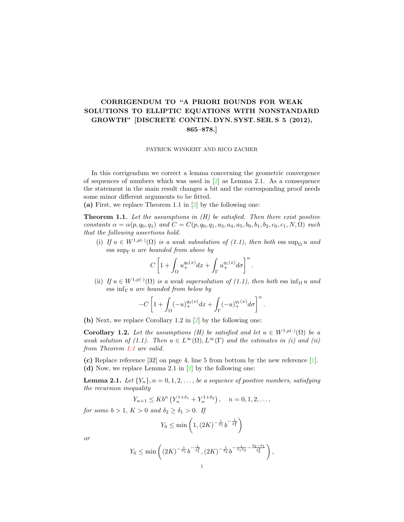## CORRIGENDUM TO "A PRIORI BOUNDS FOR WEAK SOLUTIONS TO ELLIPTIC EQUATIONS WITH NONSTANDARD GROWTH" [DISCRETE CONTIN. DYN. SYST. SER. S 5 (2012), 865–878.]

## PATRICK WINKERT AND RICO ZACHER

In this corrigendum we correct a lemma concerning the geometric convergence of sequences of numbers which was used in [\[2\]](#page-2-0) as Lemma 2.1. As a consequence the statement in the main result changes a bit and the corresponding proof needs some minor different arguments to be fitted.

(a) First, we replace Theorem 1.1 in [\[2\]](#page-2-0) by the following one:

<span id="page-0-0"></span>**Theorem 1.1.** Let the assumptions in  $(H)$  be satisfied. Then there exist positive constants  $\alpha = \alpha(p, q_0, q_1)$  and  $C = C(p, q_0, q_1, a_3, a_4, a_5, b_0, b_1, b_2, c_0, c_1, N, \Omega)$  such that the following assertions hold.

(i) If  $u \in W^{1,p(\cdot)}(\Omega)$  is a weak subsolution of  $(1.1)$ , then both ess sup $\Omega u$  and ess sup<sub>Γ</sub> u are bounded from above by

$$
C\left[1+\int_{\Omega}u^{q_0(x)}_{+}dx+\int_{\Gamma}u^{q_1(x)}_{+}d\sigma\right]^{\alpha}.
$$

(ii) If  $u \in W^{1,p(\cdot)}(\Omega)$  is a weak supersolution of (1.1), then both ess inf<sub>Ω</sub> u and ess  $\inf_{\Gamma} u$  are bounded from below by

$$
-C\left[1+\int_{\Omega}(-u)_+^{q_0(x)}dx+\int_{\Gamma}(-u)_+^{q_1(x)}d\sigma\right]^{\alpha}.
$$

(b) Next, we replace Corollary 1.2 in [\[2\]](#page-2-0) by the following one:

**Corollary 1.2.** Let the assumptions (H) be satisfied and let  $u \in W^{1,p(\cdot)}(\Omega)$  be a weak solution of (1.1). Then  $u \in L^{\infty}(\Omega), L^{\infty}(\Gamma)$  and the estimates in (i) and (ii) from Theorem [1.1](#page-0-0) are valid.

(c) Replace reference [32] on page 4, line 5 from bottom by the new reference [\[1\]](#page-2-1). (d) Now, we replace Lemma 2.1 in [\[2\]](#page-2-0) by the following one:

**Lemma 2.1.** Let  ${Y_n}$ ,  $n = 0, 1, 2, \ldots$ , be a sequence of positive numbers, satisfying the recursion inequality

$$
Y_{n+1} \leq K b^{n} \left( Y_{n}^{1+\delta_{1}} + Y_{n}^{1+\delta_{2}} \right), \quad n = 0, 1, 2, \dots,
$$

for some  $b > 1$ ,  $K > 0$  and  $\delta_2 > \delta_1 > 0$ . If

$$
Y_0 \le \min\left(1, (2K)^{-\frac{1}{\delta_1}} b^{-\frac{1}{\delta_1^2}}\right)
$$

or

$$
Y_0 \le \min\left( (2K)^{-\frac{1}{\delta_1}} b^{-\frac{1}{\delta_1^2}}, (2K)^{-\frac{1}{\delta_2}} b^{-\frac{1}{\delta_1 \delta_2} - \frac{\delta_2 - \delta_1}{\delta_2^2}} \right),
$$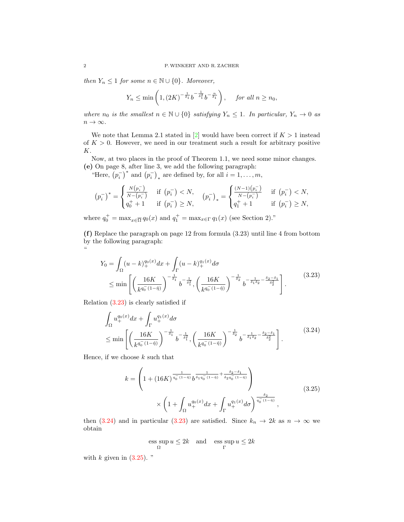then  $Y_n \leq 1$  for some  $n \in \mathbb{N} \cup \{0\}$ . Moreover,

$$
Y_n \le \min\left(1, \left(2K\right)^{-\frac{1}{\delta_1}} b^{-\frac{1}{\delta_1^2}} b^{-\frac{n}{\delta_1}}\right), \quad \text{ for all } n \ge n_0,
$$

where  $n_0$  is the smallest  $n \in \mathbb{N} \cup \{0\}$  satisfying  $Y_n \leq 1$ . In particular,  $Y_n \to 0$  as  $n\to\infty.$ 

We note that Lemma 2.1 stated in [\[2\]](#page-2-0) would have been correct if  $K > 1$  instead of  $K > 0$ . However, we need in our treatment such a result for arbitrary positive K.

Now, at two places in the proof of Theorem 1.1, we need some minor changes. (e) On page 8, after line 3, we add the following paragraph:

"Here,  $(p_i^-)^*$  and  $(p_i^-)_*$  are defined by, for all  $i = 1, \ldots, m$ ,

$$
(p_i^-)^* = \begin{cases} \frac{N(p_i^-)}{N-(p_i^-)} & \text{if } (p_i^-) < N, \\ q_0^+ + 1 & \text{if } (p_i^-) \ge N, \end{cases} \qquad (p_i^-)_* = \begin{cases} \frac{(N-1)(p_i^-)}{N-(p_i^-)} & \text{if } (p_i^-) < N, \\ q_1^+ + 1 & \text{if } (p_i^-) \ge N, \end{cases}
$$

where  $q_0^+ = \max_{x \in \overline{\Omega}} q_0(x)$  and  $q_1^+ = \max_{x \in \Gamma} q_1(x)$  (see Section 2)."

(f) Replace the paragraph on page 12 from formula (3.23) until line 4 from bottom by the following paragraph: "

<span id="page-1-0"></span>
$$
Y_0 = \int_{\Omega} (u - k)_+^{q_0(x)} dx + \int_{\Gamma} (u - k)_+^{q_1(x)} d\sigma
$$
  
\$\leq\$ min  $\left[ \left( \frac{16K}{k^{q_0^-(1-\hat{\eta})}} \right)^{-\frac{1}{\delta_1}} b^{-\frac{1}{\delta_1^2}}, \left( \frac{16K}{k^{q_0^-(1-\hat{\eta})}} \right)^{-\frac{1}{\delta_2}} b^{-\frac{1}{\delta_1 \delta_2} - \frac{\delta_2 - \delta_1}{\delta_2^2}} \right].$  (3.23)

Relation [\(3.23\)](#page-1-0) is clearly satisfied if

$$
\int_{\Omega} u_{+}^{q_{0}(x)} dx + \int_{\Gamma} u_{+}^{q_{1}(x)} d\sigma
$$
\n
$$
\leq \min \left[ \left( \frac{16K}{k^{q_{0}^{-}}(1-\hat{\eta})} \right)^{-\frac{1}{\delta_{1}}} b^{-\frac{1}{\delta_{1}^{2}}}, \left( \frac{16K}{k^{q_{0}^{-}}(1-\hat{\eta})} \right)^{-\frac{1}{\delta_{2}}} b^{-\frac{1}{\delta_{1}\delta_{2}} - \frac{\delta_{2} - \delta_{1}}{\delta_{2}^{2}}} \right].
$$
\n(3.24)

Hence, if we choose  $k$  such that

<span id="page-1-1"></span>
$$
k = \left(1 + (16K)^{\frac{1}{q_0^-(1-\hat{\eta})}} b^{\frac{1}{\delta_1 q_0^-(1-\hat{\eta})} + \frac{\delta_2 - \delta_1}{\delta_2 q_0^-(1-\hat{\eta})}}\right) \times \left(1 + \int_{\Omega} u_+^{q_0(x)} dx + \int_{\Gamma} u_+^{q_1(x)} d\sigma\right)^{\frac{\delta_2}{q_0^-(1-\hat{\eta})}},
$$
\n(3.25)

then [\(3.24\)](#page-1-1) and in particular [\(3.23\)](#page-1-0) are satisfied. Since  $k_n \to 2k$  as  $n \to \infty$  we obtain

<span id="page-1-2"></span>
$$
\operatorname{ess} \sup_{\Omega} u \le 2k \quad \text{and} \quad \operatorname{ess} \sup_{\Gamma} u \le 2k
$$

with  $k$  given in  $(3.25)$ . "